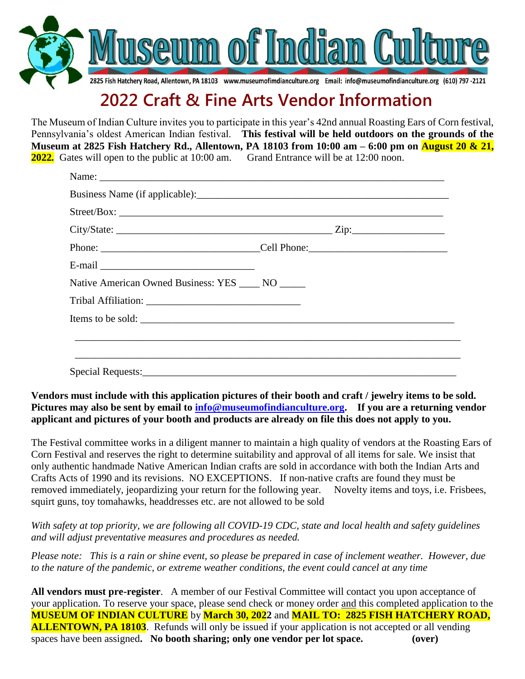

## **2022 Craft & Fine Arts Vendor Information**

The Museum of Indian Culture invites you to participate in this year's 42nd annual Roasting Ears of Corn festival, Pennsylvania's oldest American Indian festival. **This festival will be held outdoors on the grounds of the Museum at 2825 Fish Hatchery Rd., Allentown, PA 18103 from 10:00 am – 6:00 pm on August 20 & 21, 2022***.* Gates will open to the public at 10:00 am. Grand Entrance will be at 12:00 noon.

| $City/State:$ $\_\_\_\_\_\_\_\_\_\_\_\_$             |  |
|------------------------------------------------------|--|
|                                                      |  |
|                                                      |  |
|                                                      |  |
| Native American Owned Business: YES ______ NO ______ |  |
|                                                      |  |
| Items to be sold:                                    |  |

**Vendors must include with this application pictures of their booth and craft / jewelry items to be sold. Pictures may also be sent by email to [info@museumofindianculture.org.](mailto:info@museumofindianculture.org) If you are a returning vendor applicant and pictures of your booth and products are already on file this does not apply to you.**

The Festival committee works in a diligent manner to maintain a high quality of vendors at the Roasting Ears of Corn Festival and reserves the right to determine suitability and approval of all items for sale. We insist that only authentic handmade Native American Indian crafts are sold in accordance with both the Indian Arts and Crafts Acts of 1990 and its revisions. NO EXCEPTIONS. If non-native crafts are found they must be removed immediately, jeopardizing your return for the following year. Novelty items and toys, i.e. Frisbees, squirt guns, toy tomahawks, headdresses etc. are not allowed to be sold

*With safety at top priority, we are following all COVID-19 CDC, state and local health and safety guidelines and will adjust preventative measures and procedures as needed.* 

*Please note: This is a rain or shine event, so please be prepared in case of inclement weather. However, due to the nature of the pandemic, or extreme weather conditions, the event could cancel at any time*

**All vendors must pre-register**. A member of our Festival Committee will contact you upon acceptance of your application. To reserve your space, please send check or money order and this completed application to the **MUSEUM OF INDIAN CULTURE** by **March 30, 2022** and **MAIL TO: 2825 FISH HATCHERY ROAD, ALLENTOWN, PA 18103**. Refunds will only be issued if your application is not accepted or all vending spaces have been assigned**. No booth sharing; only one vendor per lot space. (over)**